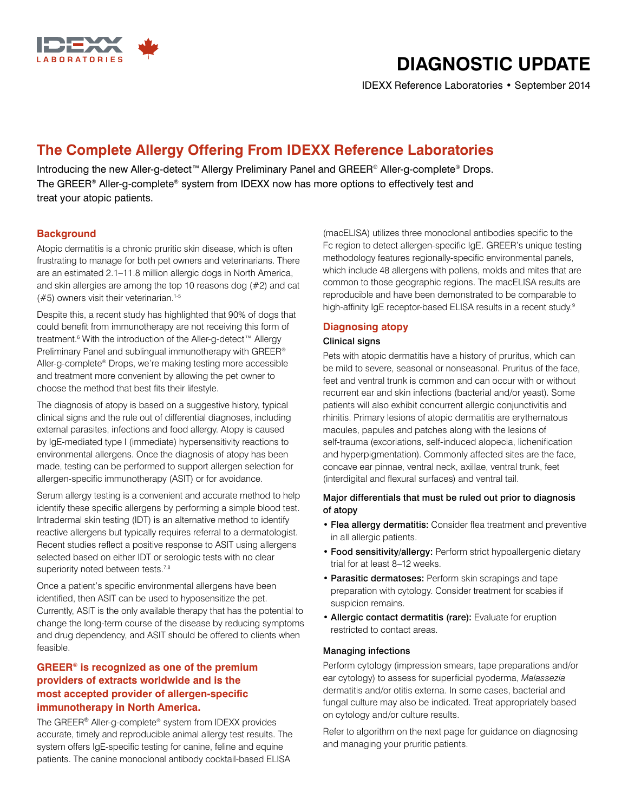

# **DIAGNOSTIC UPDATE**

IDEXX Reference Laboratories • September 2014

# **The Complete Allergy Offering From IDEXX Reference Laboratories**

Introducing the new Aller-g-detect™ Allergy Preliminary Panel and GREER® Aller-g-complete® Drops. The GREER® Aller-g-complete® system from IDEXX now has more options to effectively test and treat your atopic patients.

## **Background**

Atopic dermatitis is a chronic pruritic skin disease, which is often frustrating to manage for both pet owners and veterinarians. There are an estimated 2.1–11.8 million allergic dogs in North America, and skin allergies are among the top 10 reasons dog (#2) and cat  $($ #5) owners visit their veterinarian.<sup>1-5</sup>

Despite this, a recent study has highlighted that 90% of dogs that could benefit from immunotherapy are not receiving this form of treatment.<sup>6</sup> With the introduction of the Aller-g-detect™ Allergy Preliminary Panel and sublingual immunotherapy with GREER® Aller-g-complete® Drops, we're making testing more accessible and treatment more convenient by allowing the pet owner to choose the method that best fits their lifestyle.

The diagnosis of atopy is based on a suggestive history, typical clinical signs and the rule out of differential diagnoses, including external parasites, infections and food allergy. Atopy is caused by IgE-mediated type I (immediate) hypersensitivity reactions to environmental allergens. Once the diagnosis of atopy has been made, testing can be performed to support allergen selection for allergen-specific immunotherapy (ASIT) or for avoidance.

Serum allergy testing is a convenient and accurate method to help identify these specific allergens by performing a simple blood test. Intradermal skin testing (IDT) is an alternative method to identify reactive allergens but typically requires referral to a dermatologist. Recent studies reflect a positive response to ASIT using allergens selected based on either IDT or serologic tests with no clear superiority noted between tests.<sup>7,8</sup>

Once a patient's specific environmental allergens have been identified, then ASIT can be used to hyposensitize the pet. Currently, ASIT is the only available therapy that has the potential to change the long-term course of the disease by reducing symptoms and drug dependency, and ASIT should be offered to clients when feasible.

# **GREER® is recognized as one of the premium providers of extracts worldwide and is the most accepted provider of allergen-specific immunotherapy in North America.**

The GREER® Aller-g-complete® system from IDEXX provides accurate, timely and reproducible animal allergy test results. The system offers IgE-specific testing for canine, feline and equine patients. The canine monoclonal antibody cocktail-based ELISA

(macELISA) utilizes three monoclonal antibodies specific to the Fc region to detect allergen-specific IgE. GREER's unique testing methodology features regionally-specific environmental panels, which include 48 allergens with pollens, molds and mites that are common to those geographic regions. The macELISA results are reproducible and have been demonstrated to be comparable to high-affinity IgE receptor-based ELISA results in a recent study.<sup>9</sup>

# **Diagnosing atopy**

### Clinical signs

Pets with atopic dermatitis have a history of pruritus, which can be mild to severe, seasonal or nonseasonal. Pruritus of the face, feet and ventral trunk is common and can occur with or without recurrent ear and skin infections (bacterial and/or yeast). Some patients will also exhibit concurrent allergic conjunctivitis and rhinitis. Primary lesions of atopic dermatitis are erythematous macules, papules and patches along with the lesions of self-trauma (excoriations, self-induced alopecia, lichenification and hyperpigmentation). Commonly affected sites are the face, concave ear pinnae, ventral neck, axillae, ventral trunk, feet (interdigital and flexural surfaces) and ventral tail.

### Major differentials that must be ruled out prior to diagnosis of atopy

- Flea allergy dermatitis: Consider flea treatment and preventive in all allergic patients.
- Food sensitivity/allergy: Perform strict hypoallergenic dietary trial for at least 8–12 weeks.
- Parasitic dermatoses: Perform skin scrapings and tape preparation with cytology. Consider treatment for scabies if suspicion remains.
- Allergic contact dermatitis (rare): Evaluate for eruption restricted to contact areas.

#### Managing infections

Perform cytology (impression smears, tape preparations and/or ear cytology) to assess for superficial pyoderma, *Malassezia* dermatitis and/or otitis externa. In some cases, bacterial and fungal culture may also be indicated. Treat appropriately based on cytology and/or culture results.

Refer to algorithm on the next page for guidance on diagnosing and managing your pruritic patients.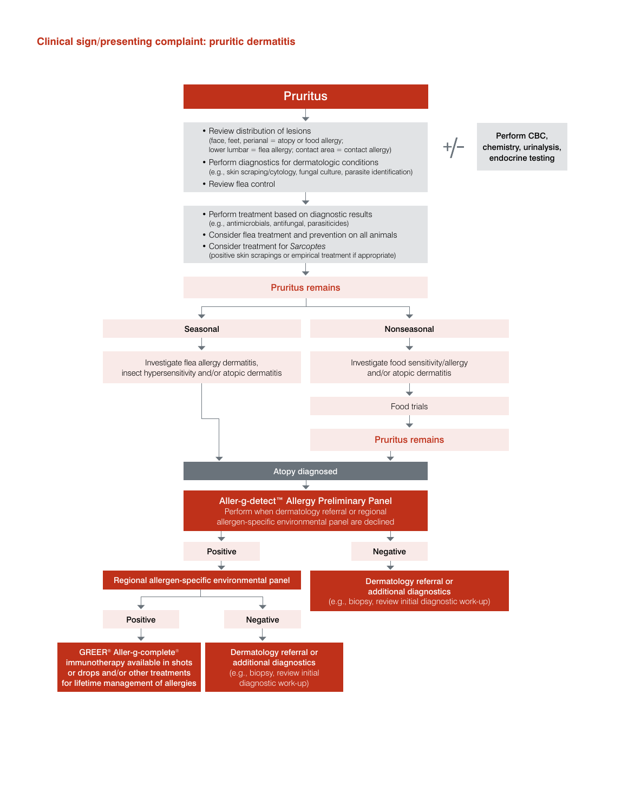#### **Clinical sign/presenting complaint: pruritic dermatitis**

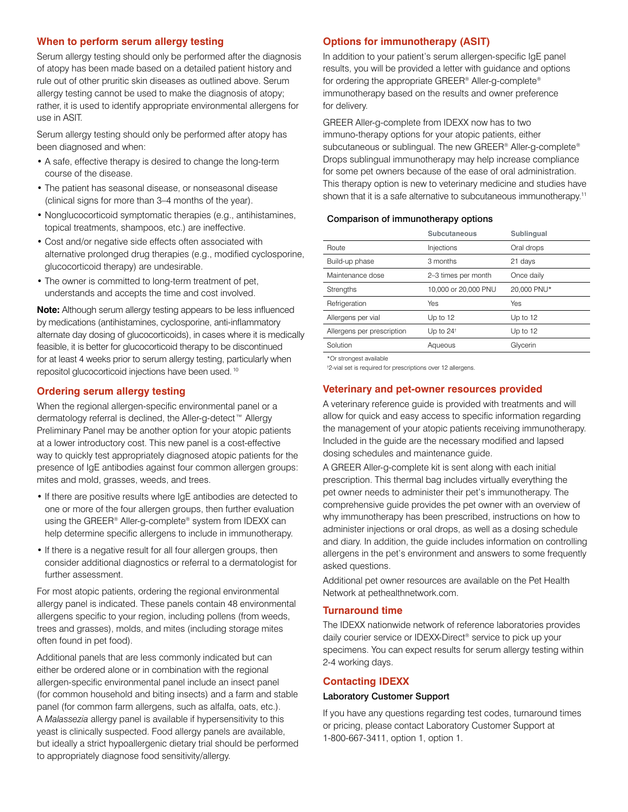#### **When to perform serum allergy testing**

Serum allergy testing should only be performed after the diagnosis of atopy has been made based on a detailed patient history and rule out of other pruritic skin diseases as outlined above. Serum allergy testing cannot be used to make the diagnosis of atopy; rather, it is used to identify appropriate environmental allergens for use in ASIT.

Serum allergy testing should only be performed after atopy has been diagnosed and when:

- A safe, effective therapy is desired to change the long-term course of the disease.
- The patient has seasonal disease, or nonseasonal disease (clinical signs for more than 3–4 months of the year).
- Nonglucocorticoid symptomatic therapies (e.g., antihistamines, topical treatments, shampoos, etc.) are ineffective.
- Cost and/or negative side effects often associated with alternative prolonged drug therapies (e.g., modified cyclosporine, glucocorticoid therapy) are undesirable.
- The owner is committed to long-term treatment of pet, understands and accepts the time and cost involved.

**Note:** Although serum allergy testing appears to be less influenced by medications (antihistamines, cyclosporine, anti-inflammatory alternate day dosing of glucocorticoids), in cases where it is medically feasible, it is better for glucocorticoid therapy to be discontinued for at least 4 weeks prior to serum allergy testing, particularly when repositol glucocorticoid injections have been used. 10

### **Ordering serum allergy testing**

When the regional allergen-specific environmental panel or a dermatology referral is declined, the Aller-g-detect™ Allergy Preliminary Panel may be another option for your atopic patients at a lower introductory cost. This new panel is a cost-effective way to quickly test appropriately diagnosed atopic patients for the presence of IgE antibodies against four common allergen groups: mites and mold, grasses, weeds, and trees.

- If there are positive results where IgE antibodies are detected to one or more of the four allergen groups, then further evaluation using the GREER® Aller-g-complete® system from IDEXX can help determine specific allergens to include in immunotherapy.
- If there is a negative result for all four allergen groups, then consider additional diagnostics or referral to a dermatologist for further assessment.

For most atopic patients, ordering the regional environmental allergy panel is indicated. These panels contain 48 environmental allergens specific to your region, including pollens (from weeds, trees and grasses), molds, and mites (including storage mites often found in pet food).

Additional panels that are less commonly indicated but can either be ordered alone or in combination with the regional allergen-specific environmental panel include an insect panel (for common household and biting insects) and a farm and stable panel (for common farm allergens, such as alfalfa, oats, etc.). A *Malassezia* allergy panel is available if hypersensitivity to this yeast is clinically suspected. Food allergy panels are available, but ideally a strict hypoallergenic dietary trial should be performed to appropriately diagnose food sensitivity/allergy.

### **Options for immunotherapy (ASIT)**

In addition to your patient's serum allergen-specific IgE panel results, you will be provided a letter with guidance and options for ordering the appropriate GREER® Aller-g-complete® immunotherapy based on the results and owner preference for delivery.

GREER Aller-g-complete from IDEXX now has to two immuno-therapy options for your atopic patients, either subcutaneous or sublingual. The new GREER® Aller-g-complete® Drops sublingual immunotherapy may help increase compliance for some pet owners because of the ease of oral administration. This therapy option is new to veterinary medicine and studies have shown that it is a safe alternative to subcutaneous immunotherapy.<sup>11</sup>

#### Comparison of immunotherapy options

| <b>Subcutaneous</b>  | <b>Sublingual</b> |
|----------------------|-------------------|
| Injections           | Oral drops        |
| 3 months             | 21 days           |
| 2-3 times per month  | Once daily        |
| 10,000 or 20,000 PNU | 20.000 PNU*       |
| Yes                  | Yes               |
| Up to 12             | Up to 12          |
| Up to $24^{\dagger}$ | Up to $12$        |
| Aqueous              | Glycerin          |
|                      |                   |

\*Or strongest available

† 2-vial set is required for prescriptions over 12 allergens.

#### **Veterinary and pet-owner resources provided**

A veterinary reference guide is provided with treatments and will allow for quick and easy access to specific information regarding the management of your atopic patients receiving immunotherapy. Included in the guide are the necessary modified and lapsed dosing schedules and maintenance guide.

A GREER Aller-g-complete kit is sent along with each initial prescription. This thermal bag includes virtually everything the pet owner needs to administer their pet's immunotherapy. The comprehensive guide provides the pet owner with an overview of why immunotherapy has been prescribed, instructions on how to administer injections or oral drops, as well as a dosing schedule and diary. In addition, the guide includes information on controlling allergens in the pet's environment and answers to some frequently asked questions.

Additional pet owner resources are available on the Pet Health Network at pethealthnetwork.com.

#### **Turnaround time**

The IDEXX nationwide network of reference laboratories provides daily courier service or IDEXX-Direct® service to pick up your specimens. You can expect results for serum allergy testing within 2-4 working days.

#### **Contacting IDEXX**

#### Laboratory Customer Support

If you have any questions regarding test codes, turnaround times or pricing, please contact Laboratory Customer Support at 1-800-667-3411, option 1, option 1.